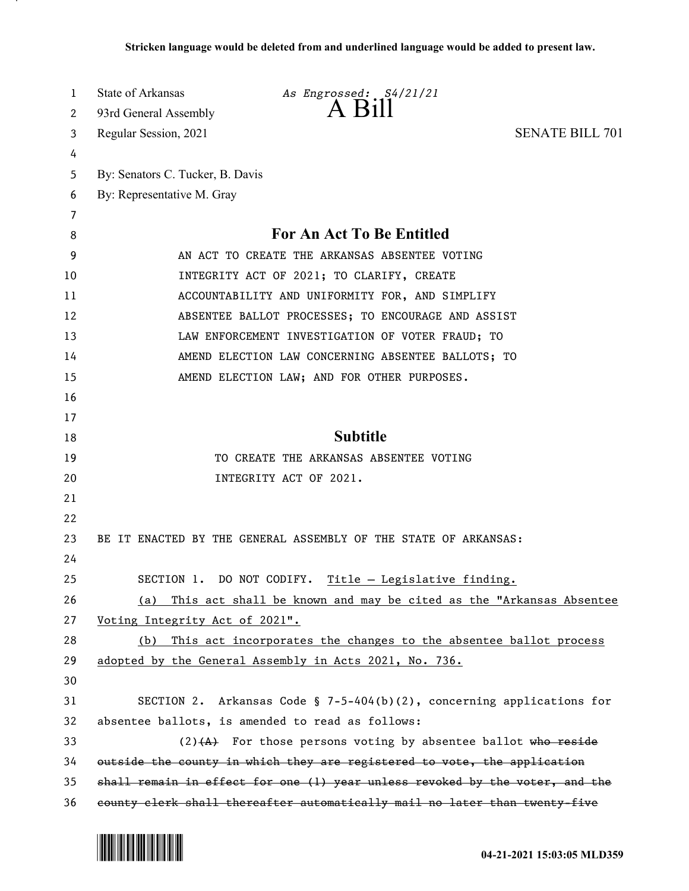| 1  | State of Arkansas<br>As Engrossed: S4/21/21                                  |  |
|----|------------------------------------------------------------------------------|--|
| 2  | A Bill<br>93rd General Assembly                                              |  |
| 3  | <b>SENATE BILL 701</b><br>Regular Session, 2021                              |  |
| 4  |                                                                              |  |
| 5  | By: Senators C. Tucker, B. Davis                                             |  |
| 6  | By: Representative M. Gray                                                   |  |
| 7  |                                                                              |  |
| 8  | <b>For An Act To Be Entitled</b>                                             |  |
| 9  | AN ACT TO CREATE THE ARKANSAS ABSENTEE VOTING                                |  |
| 10 | INTEGRITY ACT OF 2021; TO CLARIFY, CREATE                                    |  |
| 11 | ACCOUNTABILITY AND UNIFORMITY FOR, AND SIMPLIFY                              |  |
| 12 | ABSENTEE BALLOT PROCESSES; TO ENCOURAGE AND ASSIST                           |  |
| 13 | LAW ENFORCEMENT INVESTIGATION OF VOTER FRAUD; TO                             |  |
| 14 | AMEND ELECTION LAW CONCERNING ABSENTEE BALLOTS; TO                           |  |
| 15 | AMEND ELECTION LAW; AND FOR OTHER PURPOSES.                                  |  |
| 16 |                                                                              |  |
| 17 |                                                                              |  |
| 18 | <b>Subtitle</b>                                                              |  |
| 19 | TO CREATE THE ARKANSAS ABSENTEE VOTING                                       |  |
| 20 | INTEGRITY ACT OF 2021.                                                       |  |
| 21 |                                                                              |  |
| 22 |                                                                              |  |
| 23 | BE IT ENACTED BY THE GENERAL ASSEMBLY OF THE STATE OF ARKANSAS:              |  |
| 24 |                                                                              |  |
| 25 | SECTION 1. DO NOT CODIFY.<br><u>Title - Legislative finding.</u>             |  |
| 26 | (a) This act shall be known and may be cited as the "Arkansas Absentee       |  |
| 27 | Voting Integrity Act of 2021".                                               |  |
| 28 | This act incorporates the changes to the absentee ballot process<br>(b)      |  |
| 29 | adopted by the General Assembly in Acts 2021, No. 736.                       |  |
| 30 |                                                                              |  |
| 31 | SECTION 2. Arkansas Code § 7-5-404(b)(2), concerning applications for        |  |
| 32 | absentee ballots, is amended to read as follows:                             |  |
| 33 | $(2)$ $(4)$ For those persons voting by absentee ballot who reside           |  |
| 34 | outside the county in which they are registered to vote, the application     |  |
| 35 | shall remain in effect for one (1) year unless revoked by the voter, and the |  |
| 36 | county clerk shall thereafter automatically mail no later than twenty-five   |  |

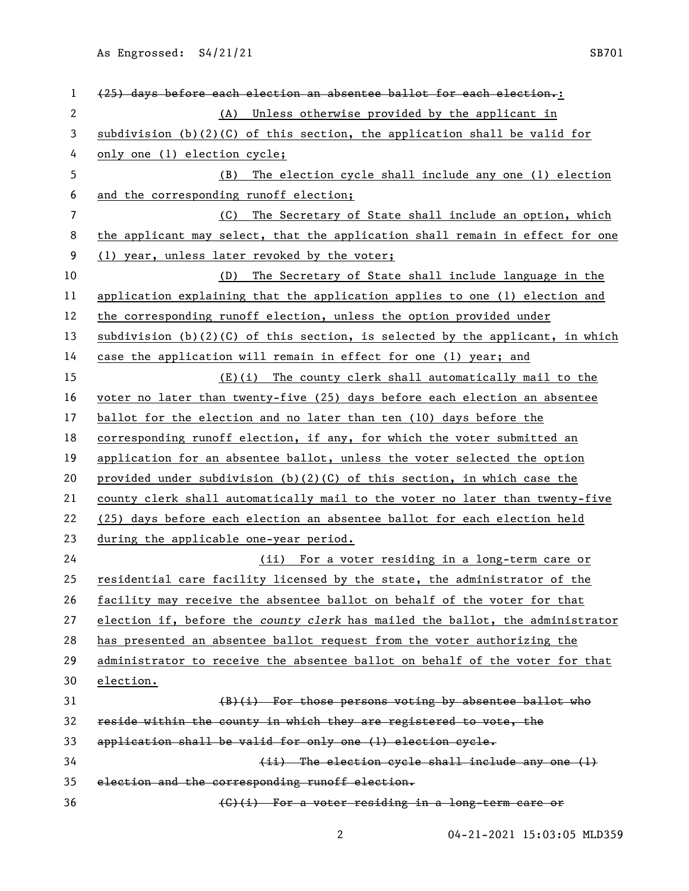| 1            | (25) days before each election an absentee ballot for each election.:           |
|--------------|---------------------------------------------------------------------------------|
| $\mathbf{2}$ | Unless otherwise provided by the applicant in<br>(A)                            |
| 3            | subdivision $(b)(2)(C)$ of this section, the application shall be valid for     |
| 4            | only one (1) election cycle;                                                    |
| 5            | The election cycle shall include any one (1) election<br>(B)                    |
| 6            | and the corresponding runoff election;                                          |
| 7            | The Secretary of State shall include an option, which<br>(C)                    |
| 8            | the applicant may select, that the application shall remain in effect for one   |
| 9            | (1) year, unless later revoked by the voter;                                    |
| 10           | The Secretary of State shall include language in the<br>(D)                     |
| 11           | application explaining that the application applies to one (1) election and     |
| 12           | the corresponding runoff election, unless the option provided under             |
| 13           | subdivision $(b)(2)(C)$ of this section, is selected by the applicant, in which |
| 14           | case the application will remain in effect for one (1) year; and                |
| 15           | (E)(i) The county clerk shall automatically mail to the                         |
| 16           | voter no later than twenty-five (25) days before each election an absentee      |
| 17           | ballot for the election and no later than ten (10) days before the              |
| 18           | corresponding runoff election, if any, for which the voter submitted an         |
| 19           | application for an absentee ballot, unless the voter selected the option        |
| 20           | provided under subdivision $(b)(2)(C)$ of this section, in which case the       |
| 21           | county clerk shall automatically mail to the voter no later than twenty-five    |
| 22           | (25) days before each election an absentee ballot for each election held        |
| 23           | during the applicable one-year period.                                          |
| 24           | (ii) For a voter residing in a long-term care or                                |
| 25           | residential care facility licensed by the state, the administrator of the       |
| 26           | facility may receive the absentee ballot on behalf of the voter for that        |
| 27           | election if, before the county clerk has mailed the ballot, the administrator   |
| 28           | has presented an absentee ballot request from the voter authorizing the         |
| 29           | administrator to receive the absentee ballot on behalf of the voter for that    |
| 30           | election.                                                                       |
| 31           | $(B)(i)$ For those persons voting by absentee ballot who                        |
| 32           | reside within the county in which they are registered to vote, the              |
| 33           | application shall be valid for only one (1) election cycle.                     |
| 34           | (ii) The election cycle shall include any one (1)                               |
| 35           | election and the corresponding runoff election.                                 |
| 36           | (C)(i) For a voter residing in a long-term care or                              |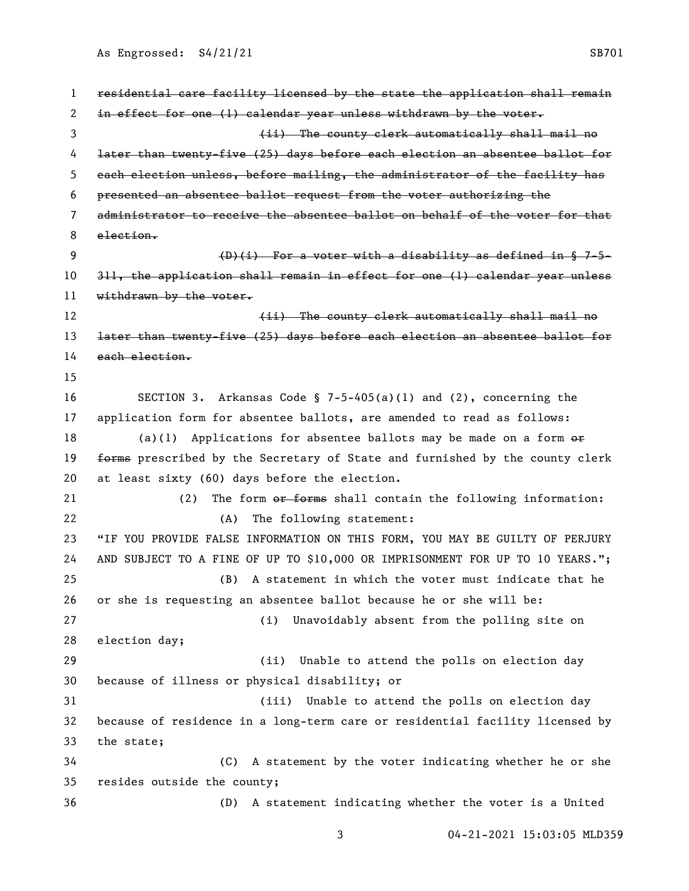| 1  | residential care facility licensed by the state the application shall remain  |
|----|-------------------------------------------------------------------------------|
| 2  | in effect for one (1) calendar year unless withdrawn by the voter.            |
| 3  | (ii) The county clerk automatically shall mail no                             |
| 4  | later than twenty-five (25) days before each election an absentee ballot for  |
| 5  | each election unless, before mailing, the administrator of the facility has   |
| 6  | presented an absentee ballot request from the voter authorizing the           |
| 7  | administrator to receive the absentee ballot on behalf of the voter for that  |
| 8  | $e$ lection.                                                                  |
| 9  | $(D)(i)$ For a voter with a disability as defined in § 7-5-                   |
| 10 | 311, the application shall remain in effect for one (1) calendar year unless  |
| 11 | withdrawn by the voter.                                                       |
| 12 | (ii) The county clerk automatically shall mail no                             |
| 13 | later than twenty-five (25) days before each election an absentee ballot for  |
| 14 | each election.                                                                |
| 15 |                                                                               |
| 16 | SECTION 3. Arkansas Code § 7-5-405(a)(1) and (2), concerning the              |
| 17 | application form for absentee ballots, are amended to read as follows:        |
| 18 | (a)(1) Applications for absentee ballots may be made on a form $\theta$ fr    |
| 19 | forms prescribed by the Secretary of State and furnished by the county clerk  |
| 20 | at least sixty (60) days before the election.                                 |
| 21 | The form or forms shall contain the following information:<br>(2)             |
| 22 | The following statement:<br>(A)                                               |
| 23 | "IF YOU PROVIDE FALSE INFORMATION ON THIS FORM, YOU MAY BE GUILTY OF PERJURY  |
| 24 | AND SUBJECT TO A FINE OF UP TO \$10,000 OR IMPRISONMENT FOR UP TO 10 YEARS."; |
| 25 | (B) A statement in which the voter must indicate that he                      |
| 26 | or she is requesting an absentee ballot because he or she will be:            |
| 27 | Unavoidably absent from the polling site on<br>(i)                            |
| 28 | election day;                                                                 |
| 29 | (ii)<br>Unable to attend the polls on election day                            |
| 30 | because of illness or physical disability; or                                 |
| 31 | Unable to attend the polls on election day<br>(iii)                           |
| 32 | because of residence in a long-term care or residential facility licensed by  |
| 33 | the state;                                                                    |
| 34 | A statement by the voter indicating whether he or she<br>(C)                  |
| 35 | resides outside the county;                                                   |
| 36 | A statement indicating whether the voter is a United<br>(D)                   |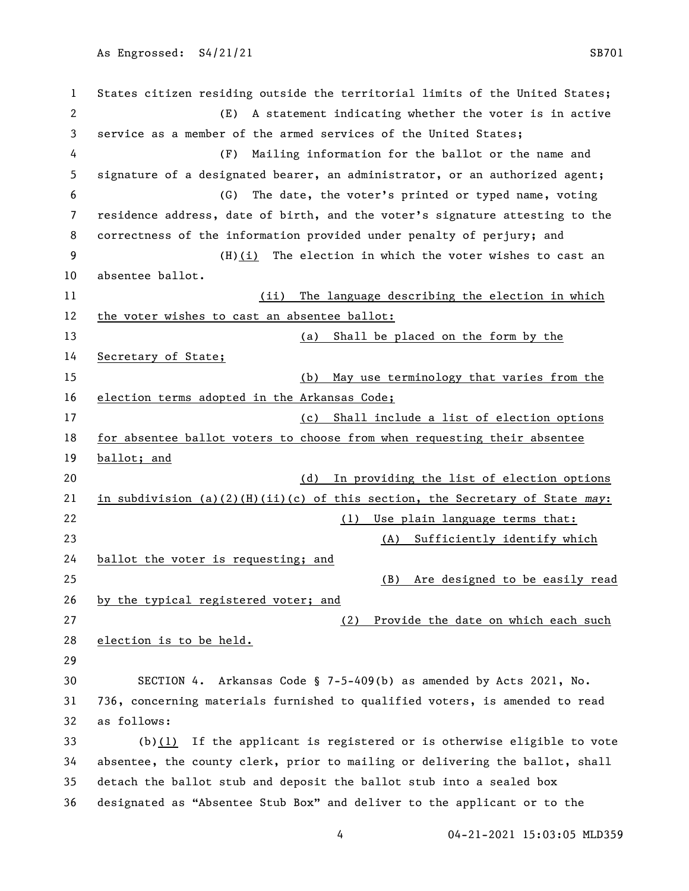States citizen residing outside the territorial limits of the United States; (E) A statement indicating whether the voter is in active service as a member of the armed services of the United States; (F) Mailing information for the ballot or the name and signature of a designated bearer, an administrator, or an authorized agent; (G) The date, the voter's printed or typed name, voting residence address, date of birth, and the voter's signature attesting to the correctness of the information provided under penalty of perjury; and (H)(i) The election in which the voter wishes to cast an absentee ballot. (ii) The language describing the election in which 12 the voter wishes to cast an absentee ballot: (a) Shall be placed on the form by the Secretary of State; (b) May use terminology that varies from the 16 election terms adopted in the Arkansas Code; (c) Shall include a list of election options for absentee ballot voters to choose from when requesting their absentee **ballot; and**  (d) In providing the list of election options in subdivision (a)(2)(H)(ii)(c) of this section, the Secretary of State *may*: 22 (1) Use plain language terms that: (A) Sufficiently identify which ballot the voter is requesting; and (B) Are designed to be easily read 26 by the typical registered voter; and (2) Provide the date on which each such election is to be held. SECTION 4. Arkansas Code § 7-5-409(b) as amended by Acts 2021, No. 736, concerning materials furnished to qualified voters, is amended to read as follows: (b)(1) If the applicant is registered or is otherwise eligible to vote absentee, the county clerk, prior to mailing or delivering the ballot, shall detach the ballot stub and deposit the ballot stub into a sealed box designated as "Absentee Stub Box" and deliver to the applicant or to the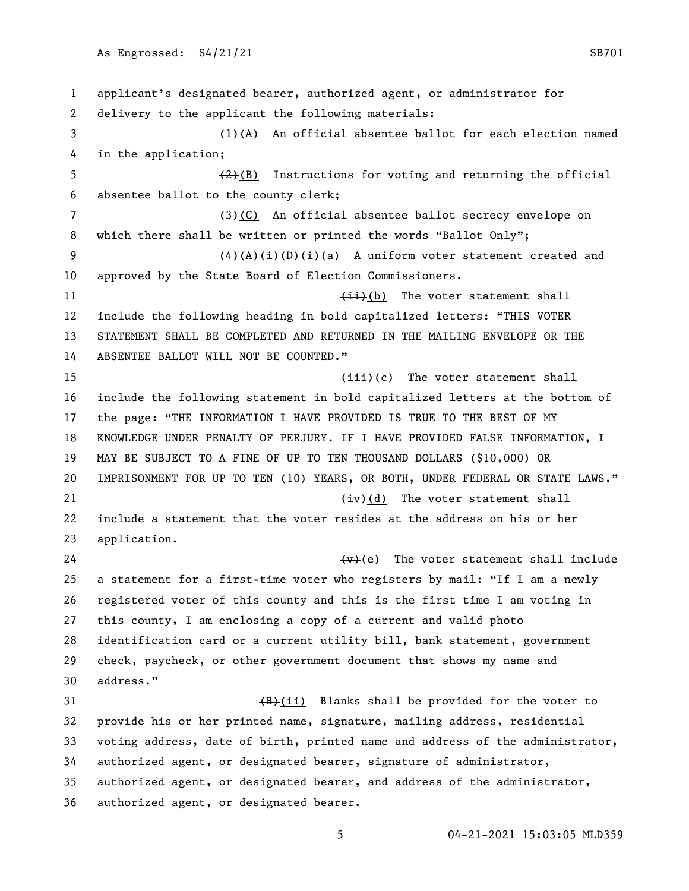applicant's designated bearer, authorized agent, or administrator for delivery to the applicant the following materials:  $\left(4\right)$  An official absentee ballot for each election named in the application;  $\left(2\right)(B)$  Instructions for voting and returning the official absentee ballot to the county clerk; 7 (3)(C) An official absentee ballot secrecy envelope on 8 which there shall be written or printed the words "Ballot Only";  $\left(4\right)\left(A\right)\left(1\right)\left(1\right)\left(a\right)$  A uniform voter statement created and approved by the State Board of Election Commissioners. 11 (ii)(b) The voter statement shall include the following heading in bold capitalized letters: "THIS VOTER STATEMENT SHALL BE COMPLETED AND RETURNED IN THE MAILING ENVELOPE OR THE ABSENTEE BALLOT WILL NOT BE COUNTED." 15 (iii)(c) The voter statement shall include the following statement in bold capitalized letters at the bottom of the page: "THE INFORMATION I HAVE PROVIDED IS TRUE TO THE BEST OF MY KNOWLEDGE UNDER PENALTY OF PERJURY. IF I HAVE PROVIDED FALSE INFORMATION, I MAY BE SUBJECT TO A FINE OF UP TO TEN THOUSAND DOLLARS (\$10,000) OR IMPRISONMENT FOR UP TO TEN (10) YEARS, OR BOTH, UNDER FEDERAL OR STATE LAWS." 21 (iv)(d) The voter statement shall include a statement that the voter resides at the address on his or her application.  $\left\{\text{w}\right\}$  (e) The voter statement shall include a statement for a first-time voter who registers by mail: "If I am a newly registered voter of this county and this is the first time I am voting in this county, I am enclosing a copy of a current and valid photo identification card or a current utility bill, bank statement, government check, paycheck, or other government document that shows my name and address."  $\left(\frac{B}{B}\right)(i)$  Blanks shall be provided for the voter to provide his or her printed name, signature, mailing address, residential voting address, date of birth, printed name and address of the administrator, authorized agent, or designated bearer, signature of administrator, authorized agent, or designated bearer, and address of the administrator, authorized agent, or designated bearer.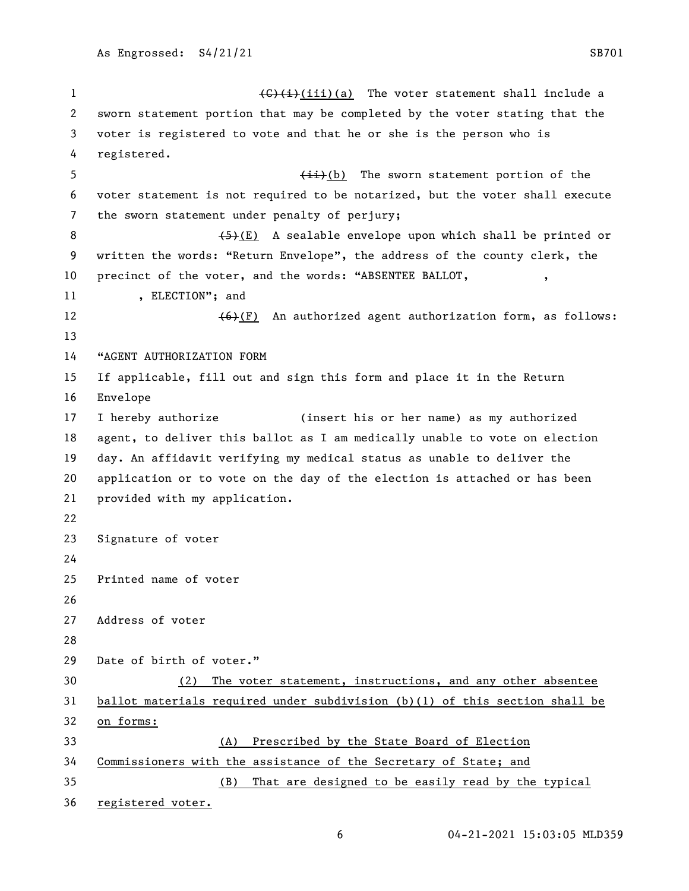$\left(\frac{C}{i}\right)(i)$  (iii)(a) The voter statement shall include a sworn statement portion that may be completed by the voter stating that the voter is registered to vote and that he or she is the person who is registered. 5 (ii)(b) The sworn statement portion of the voter statement is not required to be notarized, but the voter shall execute the sworn statement under penalty of perjury;  $(5)(E)$  A sealable envelope upon which shall be printed or written the words: "Return Envelope", the address of the county clerk, the 10 precinct of the voter, and the words: "ABSENTEE BALLOT, 11 , ELECTION"; and  $(6)+(F)$  An authorized agent authorization form, as follows: "AGENT AUTHORIZATION FORM If applicable, fill out and sign this form and place it in the Return Envelope I hereby authorize (insert his or her name) as my authorized agent, to deliver this ballot as I am medically unable to vote on election day. An affidavit verifying my medical status as unable to deliver the application or to vote on the day of the election is attached or has been provided with my application. Signature of voter Printed name of voter Address of voter Date of birth of voter." (2) The voter statement, instructions, and any other absentee ballot materials required under subdivision (b)(1) of this section shall be on forms: (A) Prescribed by the State Board of Election Commissioners with the assistance of the Secretary of State; and (B) That are designed to be easily read by the typical registered voter.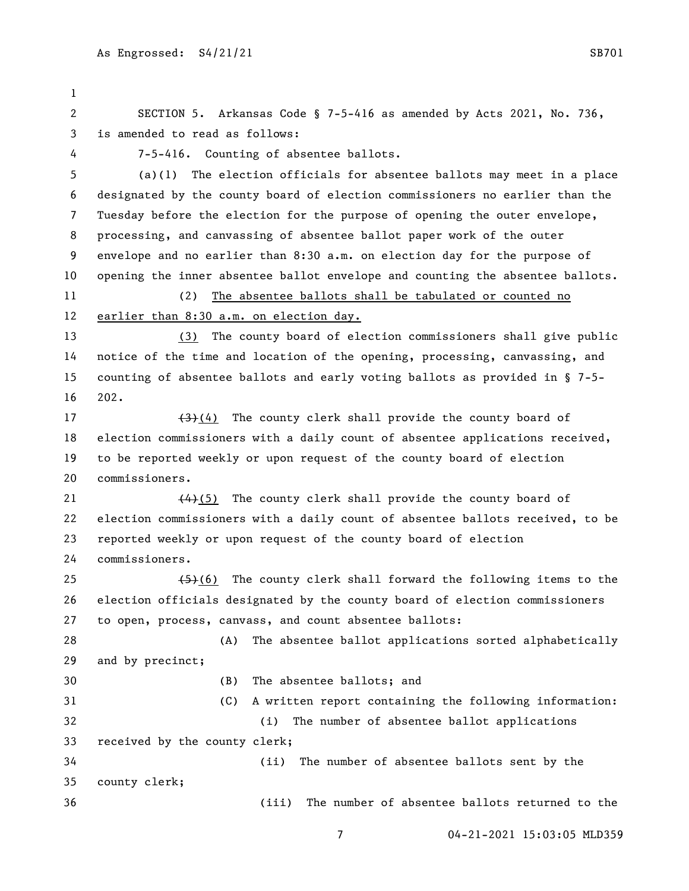SECTION 5. Arkansas Code § 7-5-416 as amended by Acts 2021, No. 736, is amended to read as follows: 7-5-416. Counting of absentee ballots. (a)(1) The election officials for absentee ballots may meet in a place designated by the county board of election commissioners no earlier than the Tuesday before the election for the purpose of opening the outer envelope, processing, and canvassing of absentee ballot paper work of the outer envelope and no earlier than 8:30 a.m. on election day for the purpose of opening the inner absentee ballot envelope and counting the absentee ballots. (2) The absentee ballots shall be tabulated or counted no earlier than 8:30 a.m. on election day. (3) The county board of election commissioners shall give public notice of the time and location of the opening, processing, canvassing, and counting of absentee ballots and early voting ballots as provided in § 7-5- 202.  $\left(4\right)$  (4) The county clerk shall provide the county board of election commissioners with a daily count of absentee applications received, to be reported weekly or upon request of the county board of election commissioners.  $(4)$ (5) The county clerk shall provide the county board of election commissioners with a daily count of absentee ballots received, to be reported weekly or upon request of the county board of election commissioners.  $(5)$  (6) The county clerk shall forward the following items to the election officials designated by the county board of election commissioners to open, process, canvass, and count absentee ballots: (A) The absentee ballot applications sorted alphabetically and by precinct; (B) The absentee ballots; and (C) A written report containing the following information: (i) The number of absentee ballot applications received by the county clerk; (ii) The number of absentee ballots sent by the county clerk; (iii) The number of absentee ballots returned to the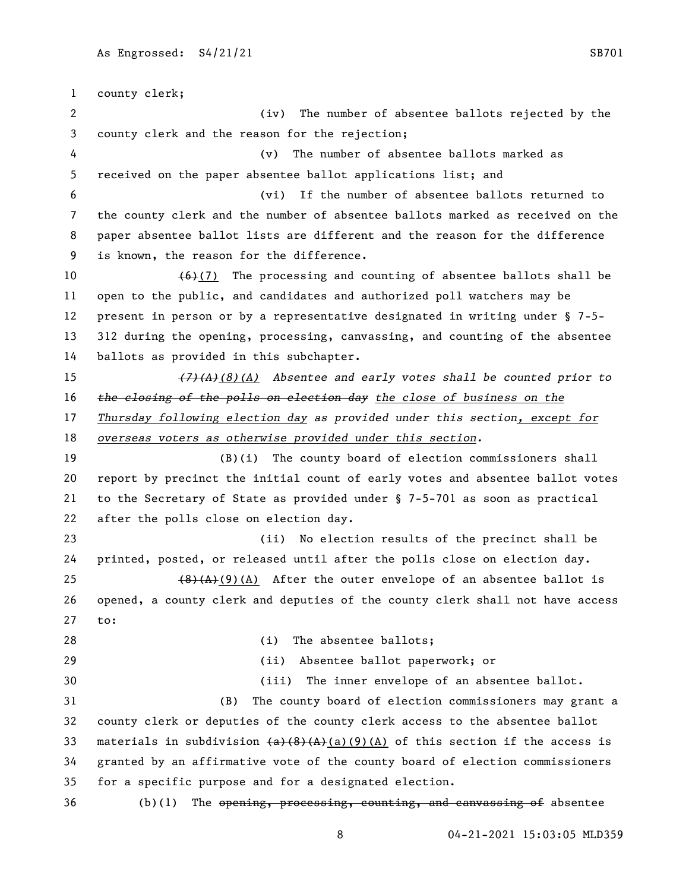county clerk; (iv) The number of absentee ballots rejected by the county clerk and the reason for the rejection; (v) The number of absentee ballots marked as received on the paper absentee ballot applications list; and (vi) If the number of absentee ballots returned to the county clerk and the number of absentee ballots marked as received on the paper absentee ballot lists are different and the reason for the difference is known, the reason for the difference.  $(6)(7)$  The processing and counting of absentee ballots shall be open to the public, and candidates and authorized poll watchers may be present in person or by a representative designated in writing under § 7-5- 312 during the opening, processing, canvassing, and counting of the absentee ballots as provided in this subchapter. *(7)(A)(8)(A) Absentee and early votes shall be counted prior to the closing of the polls on election day the close of business on the Thursday following election day as provided under this section, except for overseas voters as otherwise provided under this section.* (B)(i) The county board of election commissioners shall report by precinct the initial count of early votes and absentee ballot votes to the Secretary of State as provided under § 7-5-701 as soon as practical after the polls close on election day. (ii) No election results of the precinct shall be printed, posted, or released until after the polls close on election day.  $(8)(A)(9)(A)$  After the outer envelope of an absentee ballot is opened, a county clerk and deputies of the county clerk shall not have access to: 28 (i) The absentee ballots; (ii) Absentee ballot paperwork; or (iii) The inner envelope of an absentee ballot. (B) The county board of election commissioners may grant a county clerk or deputies of the county clerk access to the absentee ballot 33 materials in subdivision  $(a)$   $(8)$   $(A)$   $(9)$   $(A)$  of this section if the access is granted by an affirmative vote of the county board of election commissioners for a specific purpose and for a designated election. (b)(1) The opening, processing, counting, and canvassing of absentee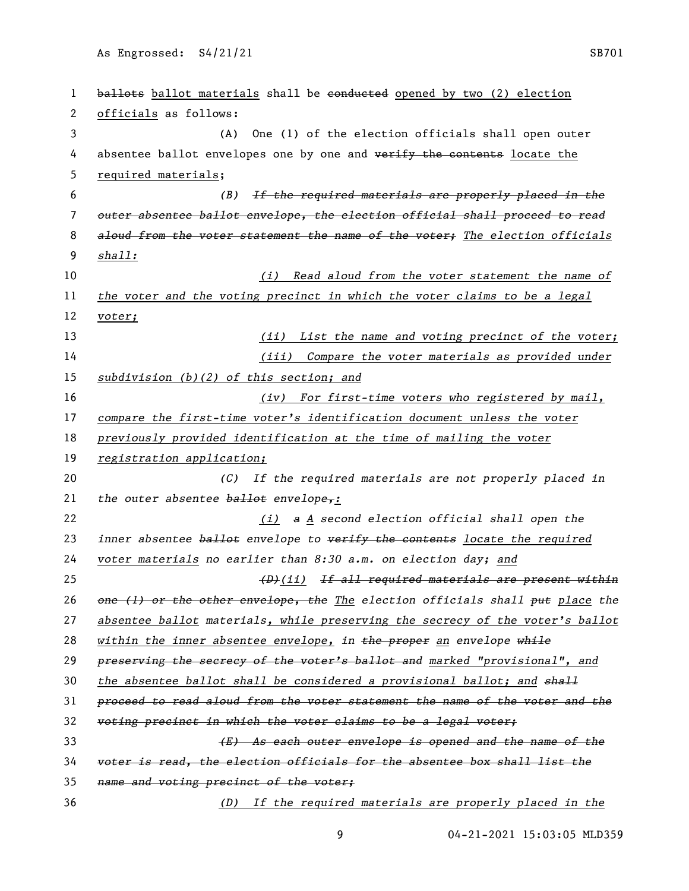1 ballots ballot materials shall be conducted opened by two (2) election officials as follows: (A) One (1) of the election officials shall open outer 4 absentee ballot envelopes one by one and verify the contents locate the required materials; *(B) If the required materials are properly placed in the outer absentee ballot envelope, the election official shall proceed to read aloud from the voter statement the name of the voter; The election officials shall: (i) Read aloud from the voter statement the name of the voter and the voting precinct in which the voter claims to be a legal voter; (ii) List the name and voting precinct of the voter; (iii) Compare the voter materials as provided under subdivision (b)(2) of this section; and (iv) For first-time voters who registered by mail, compare the first-time voter's identification document unless the voter previously provided identification at the time of mailing the voter registration application; (C) If the required materials are not properly placed in the outer absentee ballot envelope,: (i) a A second election official shall open the inner absentee ballot envelope to verify the contents locate the required voter materials no earlier than 8:30 a.m. on election day; and (D)(ii) If all required materials are present within one (1) or the other envelope, the The election officials shall put place the absentee ballot materials, while preserving the secrecy of the voter's ballot within the inner absentee envelope, in the proper an envelope while preserving the secrecy of the voter's ballot and marked "provisional", and the absentee ballot shall be considered a provisional ballot; and shall proceed to read aloud from the voter statement the name of the voter and the voting precinct in which the voter claims to be a legal voter; (E) As each outer envelope is opened and the name of the voter is read, the election officials for the absentee box shall list the name and voting precinct of the voter; (D) If the required materials are properly placed in the*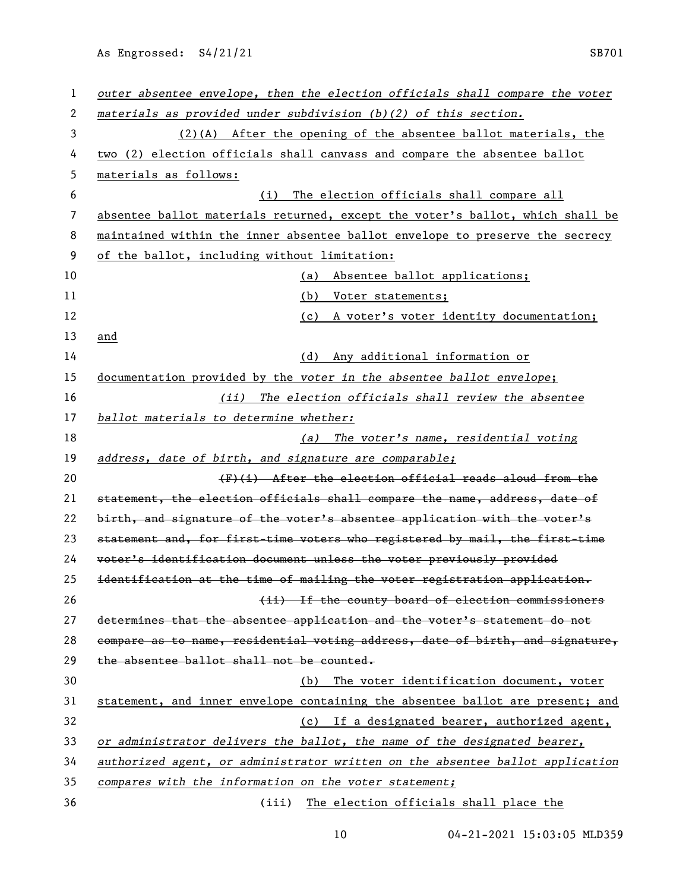| 1  | outer absentee envelope, then the election officials shall compare the voter  |
|----|-------------------------------------------------------------------------------|
| 2  | materials as provided under subdivision (b)(2) of this section.               |
| 3  | $(2)$ (A) After the opening of the absentee ballot materials, the             |
| 4  | two (2) election officials shall canvass and compare the absentee ballot      |
| 5  | materials as follows:                                                         |
| 6  | The election officials shall compare all<br>(i)                               |
| 7  | absentee ballot materials returned, except the voter's ballot, which shall be |
| 8  | maintained within the inner absentee ballot envelope to preserve the secrecy  |
| 9  | of the ballot, including without limitation:                                  |
| 10 | Absentee ballot applications;<br>(a)                                          |
| 11 | (b) Voter statements;                                                         |
| 12 | (c) A voter's voter identity documentation;                                   |
| 13 | and                                                                           |
| 14 | Any additional information or<br>(d)                                          |
| 15 | documentation provided by the voter in the absentee ballot envelope;          |
| 16 | (ii) The election officials shall review the absentee                         |
| 17 | ballot materials to determine whether:                                        |
| 18 | (a) The voter's name, residential voting                                      |
| 19 | address, date of birth, and signature are comparable;                         |
| 20 | (F)(i) After the election official reads aloud from the                       |
| 21 | statement, the election officials shall compare the name, address, date of    |
| 22 | birth, and signature of the voter's absentee application with the voter's     |
| 23 | statement and, for first-time voters who registered by mail, the first-time   |
| 24 | voter's identification document unless the voter previously provided          |
| 25 | identification at the time of mailing the voter registration application.     |
| 26 | (ii) If the county board of election commissioners                            |
| 27 | determines that the absentee application and the voter's statement do not     |
| 28 | compare as to name, residential voting address, date of birth, and signature, |
| 29 | the absentee ballot shall not be counted.                                     |
| 30 | The voter identification document, voter<br>(b)                               |
| 31 | statement, and inner envelope containing the absentee ballot are present; and |
| 32 | (c) If a designated bearer, authorized agent,                                 |
| 33 | or administrator delivers the ballot, the name of the designated bearer,      |
| 34 | authorized agent, or administrator written on the absentee ballot application |
| 35 | compares with the information on the voter statement;                         |
| 36 | The election officials shall place the<br>(iii)                               |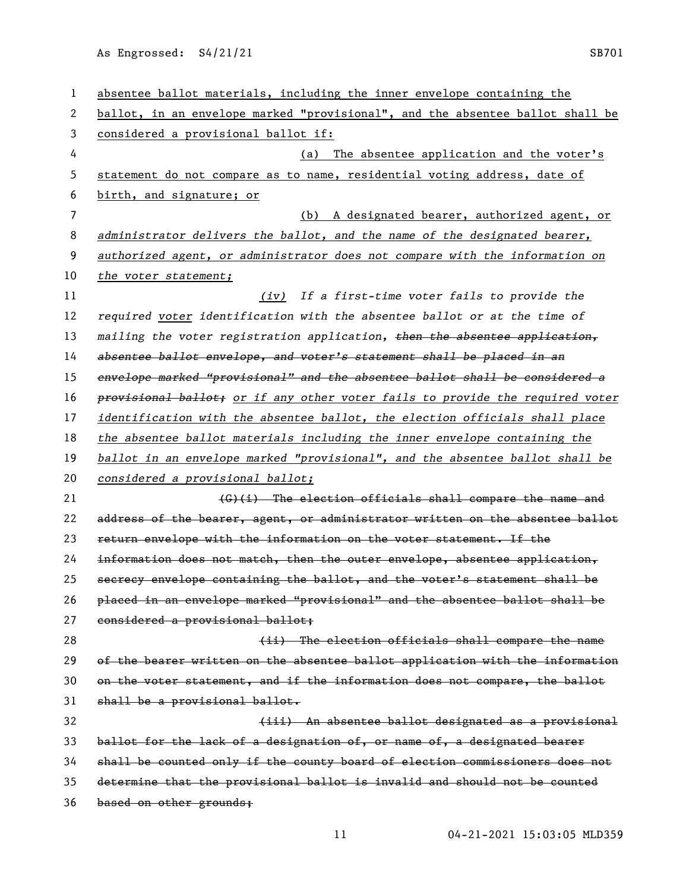| 1  | absentee ballot materials, including the inner envelope containing the        |
|----|-------------------------------------------------------------------------------|
| 2  | ballot, in an envelope marked "provisional", and the absentee ballot shall be |
| 3  | considered a provisional ballot if:                                           |
| 4  | The absentee application and the voter's<br>(a)                               |
| 5  | statement do not compare as to name, residential voting address, date of      |
| 6  | birth, and signature; or                                                      |
| 7  | A designated bearer, authorized agent, or<br>(b)                              |
| 8  | administrator delivers the ballot, and the name of the designated bearer,     |
| 9  | authorized agent, or administrator does not compare with the information on   |
| 10 | the voter statement;                                                          |
| 11 | (iv) If a first-time voter fails to provide the                               |
| 12 | required voter identification with the absentee ballot or at the time of      |
| 13 | mailing the voter registration application, then the absentee application,    |
| 14 | absentee ballot envelope, and voter's statement shall be placed in an         |
| 15 | envelope marked "provisional" and the absentee ballot shall be considered a   |
| 16 | provisional ballot; or if any other voter fails to provide the required voter |
| 17 | identification with the absentee ballot, the election officials shall place   |
| 18 | the absentee ballot materials including the inner envelope containing the     |
| 19 | ballot in an envelope marked "provisional", and the absentee ballot shall be  |
| 20 | considered a provisional ballot;                                              |
| 21 | (G)(i) The election officials shall compare the name and                      |
| 22 | address of the bearer, agent, or administrator written on the absentee ballot |
| 23 | return envelope with the information on the voter statement. If the           |
| 24 | information does not match, then the outer envelope, absentee application,    |
| 25 | secrecy envelope containing the ballot, and the voter's statement shall be    |
| 26 | placed in an envelope marked "provisional" and the absentee ballot shall be   |
| 27 | considered a provisional ballot;                                              |
| 28 | (ii) The election officials shall compare the name                            |
| 29 | of the bearer written on the absentee ballot application with the information |
| 30 | on the voter statement, and if the information does not compare, the ballot   |
| 31 | shall be a provisional ballot.                                                |
| 32 | (iii) An absentee ballot designated as a provisional                          |
| 33 | ballot for the lack of a designation of, or name of, a designated bearer      |
| 34 | shall be counted only if the county board of election commissioners does not  |
| 35 | determine that the provisional ballot is invalid and should not be counted    |
| 36 | based on other grounds;                                                       |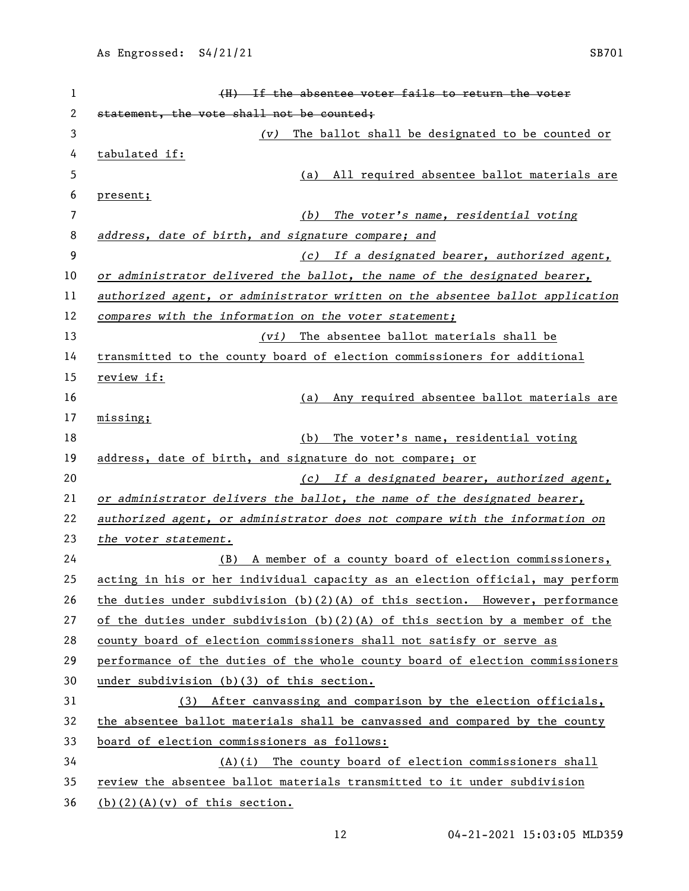| 1              | (H) If the absentee voter fails to return the voter                            |
|----------------|--------------------------------------------------------------------------------|
| 2              | statement, the vote shall not be counted;                                      |
| 3              | The ballot shall be designated to be counted or<br>(v)                         |
| 4              | tabulated if:                                                                  |
| 5              | All required absentee ballot materials are<br>(a)                              |
| 6              | present;                                                                       |
| $\overline{7}$ | The voter's name, residential voting<br>(b)                                    |
| 8              | address, date of birth, and signature compare; and                             |
| 9              | (c) If a designated bearer, authorized agent,                                  |
| 10             | or administrator delivered the ballot, the name of the designated bearer,      |
| 11             | authorized agent, or administrator written on the absentee ballot application  |
| 12             | compares with the information on the voter statement;                          |
| 13             | (vi) The absentee ballot materials shall be                                    |
| 14             | transmitted to the county board of election commissioners for additional       |
| 15             | review if:                                                                     |
| 16             | Any required absentee ballot materials are<br>(a)                              |
| 17             | missing;                                                                       |
| 18             | The voter's name, residential voting<br>(b)                                    |
| 19             | address, date of birth, and signature do not compare; or                       |
| 20             | (c) If a designated bearer, authorized agent,                                  |
| 21             | or administrator delivers the ballot, the name of the designated bearer,       |
| 22             | authorized agent, or administrator does not compare with the information on    |
| 23             | the voter statement.                                                           |
| 24             | A member of a county board of election commissioners,<br>(B)                   |
| 25             | acting in his or her individual capacity as an election official, may perform  |
| 26             | the duties under subdivision $(b)(2)(A)$ of this section. However, performance |
| 27             | of the duties under subdivision $(b)(2)(A)$ of this section by a member of the |
| 28             | county board of election commissioners shall not satisfy or serve as           |
| 29             | performance of the duties of the whole county board of election commissioners  |
| 30             | under subdivision (b)(3) of this section.                                      |
| 31             | (3) After canvassing and comparison by the election officials,                 |
| 32             | the absentee ballot materials shall be canvassed and compared by the county    |
| 33             | board of election commissioners as follows:                                    |
| 34             | $(A)(i)$ The county board of election commissioners shall                      |
| 35             | review the absentee ballot materials transmitted to it under subdivision       |
| 36             | $(b)(2)(A)(v)$ of this section.                                                |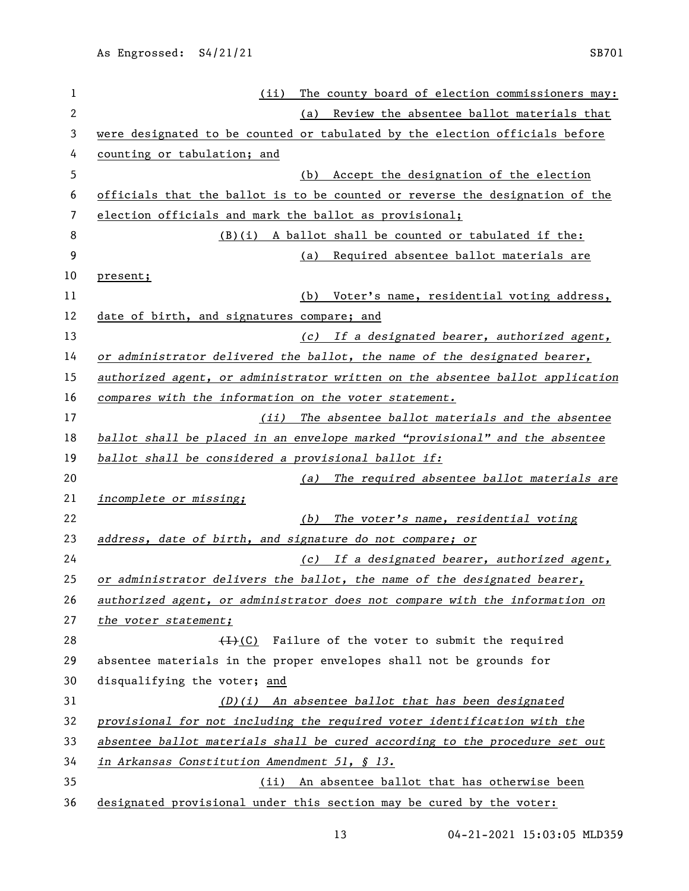| 1            | The county board of election commissioners may:<br>(ii)                       |
|--------------|-------------------------------------------------------------------------------|
| $\mathbf{2}$ | Review the absentee ballot materials that<br>(a)                              |
| 3            | were designated to be counted or tabulated by the election officials before   |
| 4            | counting or tabulation; and                                                   |
| 5            | Accept the designation of the election<br>(b)                                 |
| 6            | officials that the ballot is to be counted or reverse the designation of the  |
| 7            | election officials and mark the ballot as provisional;                        |
| 8            | (B)(i) A ballot shall be counted or tabulated if the:                         |
| 9            | Required absentee ballot materials are<br>(a)                                 |
| 10           | present;                                                                      |
| 11           | Voter's name, residential voting address,<br>(b)                              |
| 12           | date of birth, and signatures compare; and                                    |
| 13           | (c) If a designated bearer, authorized agent,                                 |
| 14           | or administrator delivered the ballot, the name of the designated bearer,     |
| 15           | authorized agent, or administrator written on the absentee ballot application |
| 16           | compares with the information on the voter statement.                         |
| 17           | (ii) The absentee ballot materials and the absentee                           |
| 18           | ballot shall be placed in an envelope marked "provisional" and the absentee   |
| 19           | ballot shall be considered a provisional ballot if:                           |
| 20           | (a) The required absentee ballot materials are                                |
| 21           | <i>incomplete or missing;</i>                                                 |
| 22           | The voter's name, residential voting<br>(b)                                   |
| 23           | address, date of birth, and signature do not compare; or                      |
| 24           | (c) If a designated bearer, authorized agent,                                 |
| 25           | or administrator delivers the ballot, the name of the designated bearer,      |
| 26           | authorized agent, or administrator does not compare with the information on   |
| 27           | the voter statement;                                                          |
| 28           | $(1)$ (C) Failure of the voter to submit the required                         |
| 29           | absentee materials in the proper envelopes shall not be grounds for           |
| 30           | disqualifying the voter; and                                                  |
| 31           | $(D)(i)$ An absentee ballot that has been designated                          |
| 32           | provisional for not including the required voter identification with the      |
| 33           | absentee ballot materials shall be cured according to the procedure set out   |
| 34           | in Arkansas Constitution Amendment 51, § 13.                                  |
| 35           | (ii) An absentee ballot that has otherwise been                               |
| 36           | designated provisional under this section may be cured by the voter:          |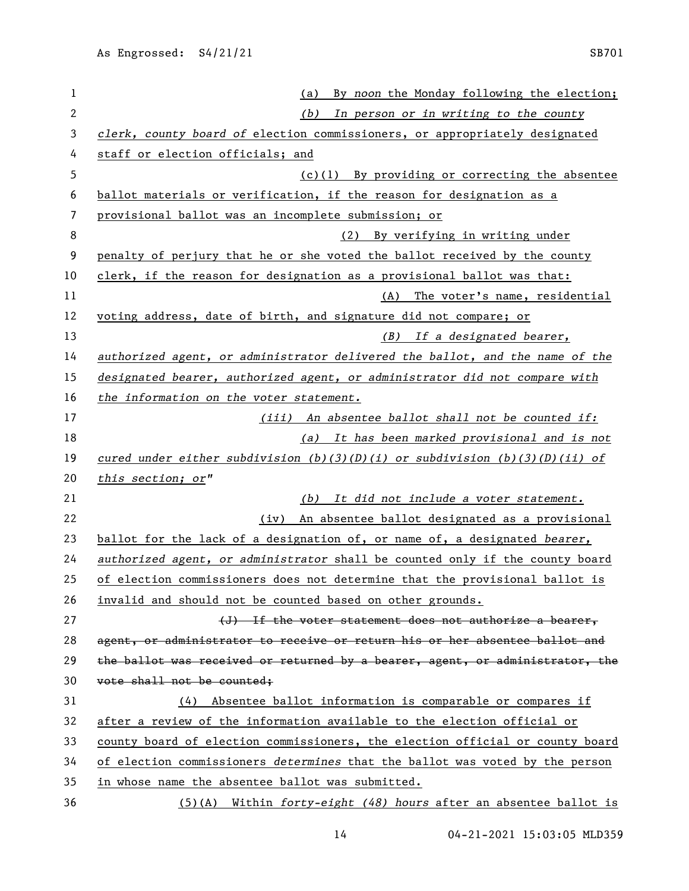| $\mathbf{1}$ | By noon the Monday following the election;<br>(a)                             |
|--------------|-------------------------------------------------------------------------------|
| $\mathbf{2}$ | In person or in writing to the county<br>(b)                                  |
| 3            | clerk, county board of election commissioners, or appropriately designated    |
| 4            | staff or election officials; and                                              |
| 5            | $(c)(1)$ By providing or correcting the absentee                              |
| 6            | ballot materials or verification, if the reason for designation as a          |
| 7            | provisional ballot was an incomplete submission; or                           |
| 8            | (2) By verifying in writing under                                             |
| 9            | penalty of perjury that he or she voted the ballot received by the county     |
| 10           | clerk, if the reason for designation as a provisional ballot was that:        |
| 11           | The voter's name, residential<br>(A)                                          |
| 12           | voting address, date of birth, and signature did not compare; or              |
| 13           | (B) If a designated bearer,                                                   |
| 14           | authorized agent, or administrator delivered the ballot, and the name of the  |
| 15           | designated bearer, authorized agent, or administrator did not compare with    |
| 16           | the information on the voter statement.                                       |
| 17           | (iii) An absentee ballot shall not be counted if:                             |
| 18           | (a) It has been marked provisional and is not                                 |
| 19           | cured under either subdivision (b)(3)(D)(i) or subdivision (b)(3)(D)(ii) of   |
| 20           | this section; or"                                                             |
| 21           | It did not include a voter statement.<br>(b)                                  |
| 22           | An absentee ballot designated as a provisional<br>(iv)                        |
| 23           | ballot for the lack of a designation of, or name of, a designated bearer,     |
| 24           | authorized agent, or administrator shall be counted only if the county board  |
| 25           | of election commissioners does not determine that the provisional ballot is   |
| 26           | invalid and should not be counted based on other grounds.                     |
| 27           | (J) If the voter statement does not authorize a bearer,                       |
| 28           | agent, or administrator to receive or return his or her absentee ballot and   |
| 29           | the ballot was received or returned by a bearer, agent, or administrator, the |
| 30           | vote shall not be counted;                                                    |
| 31           | (4) Absentee ballot information is comparable or compares if                  |
| 32           | after a review of the information available to the election official or       |
| 33           | county board of election commissioners, the election official or county board |
| 34           | of election commissioners determines that the ballot was voted by the person  |
| 35           | in whose name the absentee ballot was submitted.                              |
| 36           | $(5)$ (A) Within forty-eight (48) hours after an absentee ballot is           |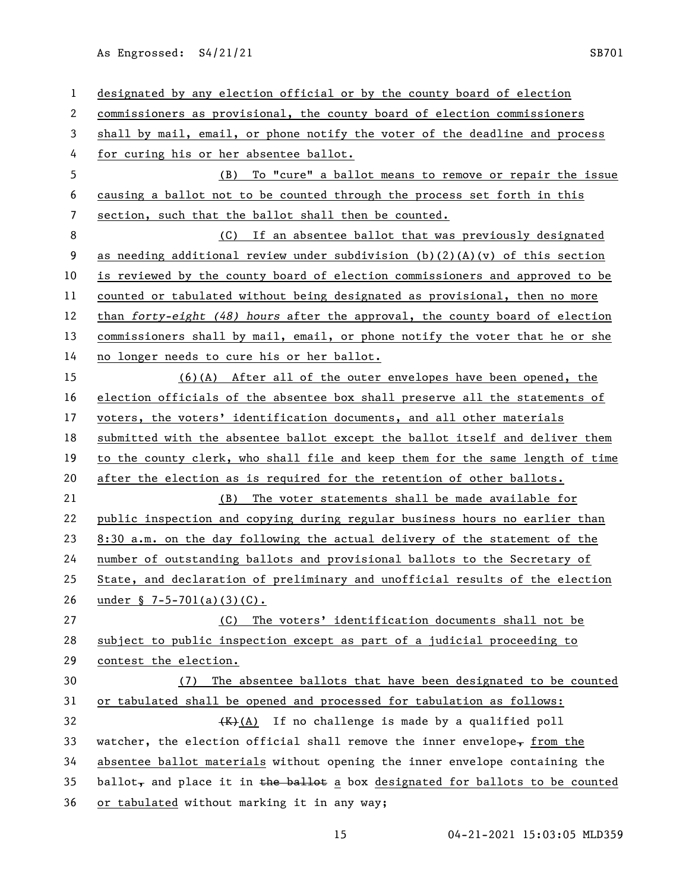designated by any election official or by the county board of election commissioners as provisional, the county board of election commissioners shall by mail, email, or phone notify the voter of the deadline and process for curing his or her absentee ballot. (B) To "cure" a ballot means to remove or repair the issue causing a ballot not to be counted through the process set forth in this section, such that the ballot shall then be counted. (C) If an absentee ballot that was previously designated 9 as needing additional review under subdivision (b)(2)(A)(v) of this section is reviewed by the county board of election commissioners and approved to be counted or tabulated without being designated as provisional, then no more than *forty-eight (48) hours* after the approval, the county board of election commissioners shall by mail, email, or phone notify the voter that he or she 14 no longer needs to cure his or her ballot. (6)(A) After all of the outer envelopes have been opened, the election officials of the absentee box shall preserve all the statements of 17 voters, the voters' identification documents, and all other materials submitted with the absentee ballot except the ballot itself and deliver them to the county clerk, who shall file and keep them for the same length of time after the election as is required for the retention of other ballots. (B) The voter statements shall be made available for public inspection and copying during regular business hours no earlier than 8:30 a.m. on the day following the actual delivery of the statement of the number of outstanding ballots and provisional ballots to the Secretary of State, and declaration of preliminary and unofficial results of the election under § 7-5-701(a)(3)(C). (C) The voters' identification documents shall not be subject to public inspection except as part of a judicial proceeding to contest the election. (7) The absentee ballots that have been designated to be counted or tabulated shall be opened and processed for tabulation as follows:  $\overline{K}(A)$  If no challenge is made by a qualified poll 33 watcher, the election official shall remove the inner envelope, from the absentee ballot materials without opening the inner envelope containing the 35 ballot, and place it in the ballot  $\underline{a}$  box designated for ballots to be counted or tabulated without marking it in any way;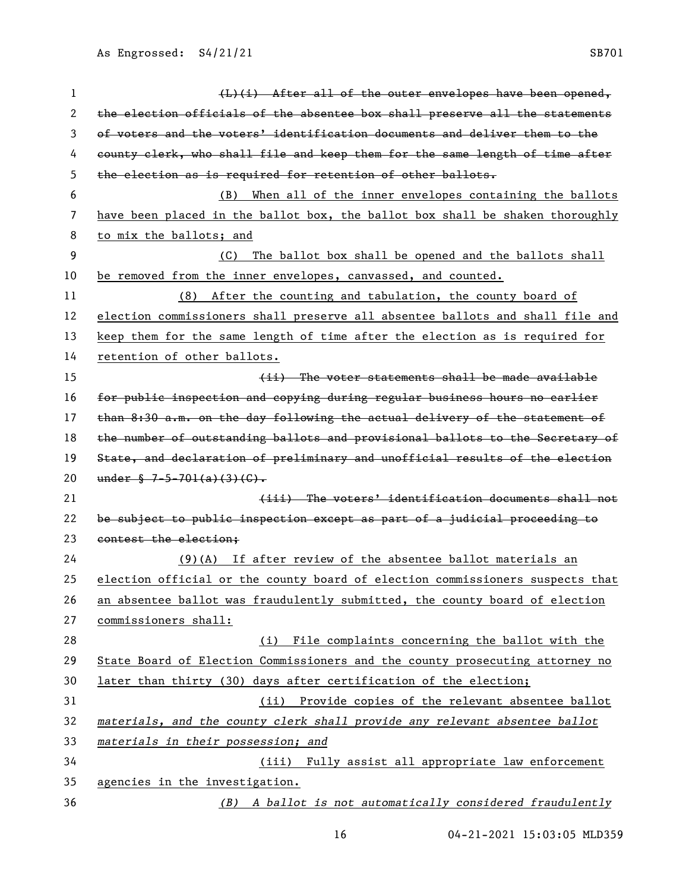| 1  | $(L)$ (i) After all of the outer envelopes have been opened,                  |
|----|-------------------------------------------------------------------------------|
| 2  | the election officials of the absentee box shall preserve all the statements  |
| 3  | of voters and the voters' identification documents and deliver them to the    |
| 4  | county clerk, who shall file and keep them for the same length of time after  |
| 5  | the election as is required for retention of other ballots.                   |
| 6  | When all of the inner envelopes containing the ballots<br>(B)                 |
| 7  | have been placed in the ballot box, the ballot box shall be shaken thoroughly |
| 8  | to mix the ballots; and                                                       |
| 9  | The ballot box shall be opened and the ballots shall<br>(C)                   |
| 10 | be removed from the inner envelopes, canvassed, and counted.                  |
| 11 | (8) After the counting and tabulation, the county board of                    |
| 12 | election commissioners shall preserve all absentee ballots and shall file and |
| 13 | keep them for the same length of time after the election as is required for   |
| 14 | retention of other ballots.                                                   |
| 15 | (ii) The voter statements shall be made available                             |
| 16 | for public inspection and copying during regular business hours no carlier    |
| 17 | than 8:30 a.m. on the day following the actual delivery of the statement of   |
| 18 | the number of outstanding ballots and provisional ballots to the Secretary of |
| 19 | State, and declaration of preliminary and unofficial results of the election  |
| 20 | under $\frac{6}{5}$ 7-5-701(a)(3)(G).                                         |
| 21 | (iii) The voters' identification documents shall not                          |
| 22 | be subject to public inspection except as part of a judicial proceeding to    |
| 23 | contest the election:                                                         |
| 24 | $(9)$ (A) If after review of the absentee ballot materials an                 |
| 25 | election official or the county board of election commissioners suspects that |
| 26 | an absentee ballot was fraudulently submitted, the county board of election   |
| 27 | commissioners shall:                                                          |
| 28 | (i) File complaints concerning the ballot with the                            |
| 29 | State Board of Election Commissioners and the county prosecuting attorney no  |
| 30 | later than thirty (30) days after certification of the election;              |
| 31 | (ii) Provide copies of the relevant absentee ballot                           |
| 32 | materials, and the county clerk shall provide any relevant absentee ballot    |
| 33 | materials in their possession; and                                            |
| 34 | (iii) Fully assist all appropriate law enforcement                            |
| 35 | agencies in the investigation.                                                |
| 36 | (B) A ballot is not automatically considered fraudulently                     |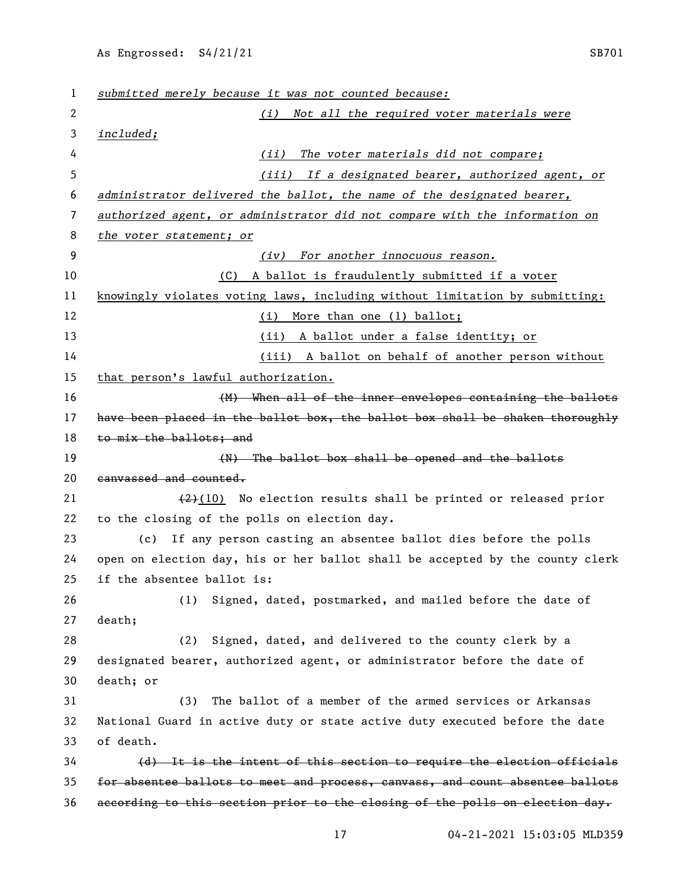| 1  | submitted merely because it was not counted because:                          |
|----|-------------------------------------------------------------------------------|
| 2  | Not all the required voter materials were<br>(i)                              |
| 3  | included;                                                                     |
| 4  | (ii)<br>The voter materials did not compare;                                  |
| 5  | (iii) If a designated bearer, authorized agent, or                            |
| 6  | administrator delivered the ballot, the name of the designated bearer,        |
| 7  | authorized agent, or administrator did not compare with the information on    |
| 8  | the voter statement; or                                                       |
| 9  | (iv) For another innocuous reason.                                            |
| 10 | A ballot is fraudulently submitted if a voter<br>(C)                          |
| 11 | knowingly violates voting laws, including without limitation by submitting:   |
| 12 | (i) More than one (1) ballot;                                                 |
| 13 | (ii) A ballot under a false identity; or                                      |
| 14 | (iii) A ballot on behalf of another person without                            |
| 15 | that person's lawful authorization.                                           |
| 16 | (M) When all of the inner envelopes containing the ballots                    |
| 17 | have been placed in the ballot box, the ballot box shall be shaken thoroughly |
| 18 | to mix the ballots; and                                                       |
| 19 | (N) The ballot box shall be opened and the ballots                            |
| 20 | canvassed and counted.                                                        |
| 21 | $(2)$ (10) No election results shall be printed or released prior             |
| 22 | to the closing of the polls on election day.                                  |
| 23 | (c) If any person casting an absentee ballot dies before the polls            |
| 24 | open on election day, his or her ballot shall be accepted by the county clerk |
| 25 | if the absentee ballot is:                                                    |
| 26 | Signed, dated, postmarked, and mailed before the date of<br>(1)               |
| 27 | death;                                                                        |
| 28 | Signed, dated, and delivered to the county clerk by a<br>(2)                  |
| 29 | designated bearer, authorized agent, or administrator before the date of      |
| 30 | death; or                                                                     |
| 31 | The ballot of a member of the armed services or Arkansas<br>(3)               |
| 32 | National Guard in active duty or state active duty executed before the date   |
| 33 | of death.                                                                     |
| 34 | (d) It is the intent of this section to require the election officials        |
| 35 | for absentee ballots to meet and process, canvass, and count absentee ballots |
| 36 | according to this section prior to the closing of the polls on election day.  |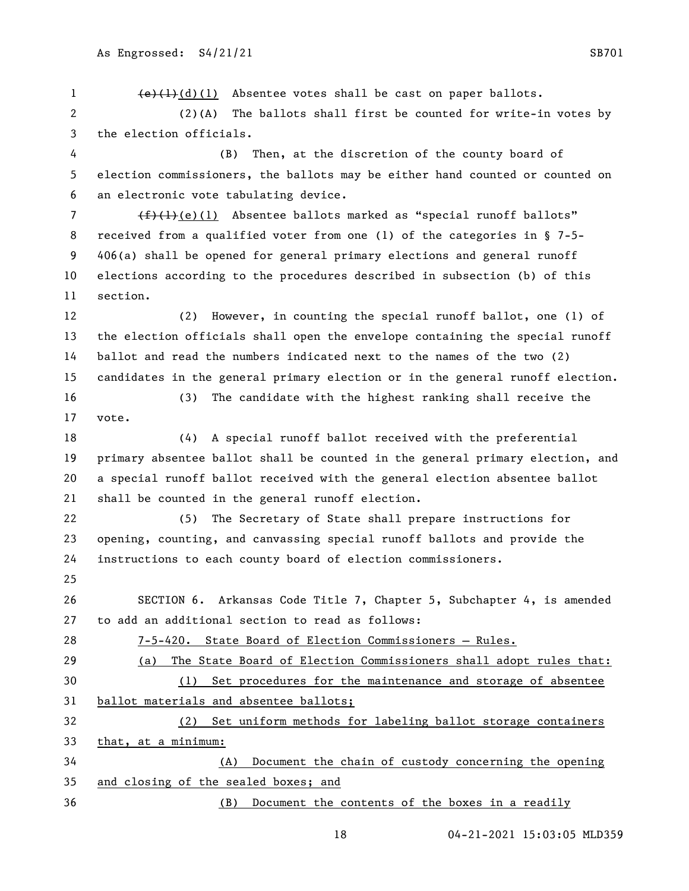$\left(\frac{e}{1}\right)^{d}(d)(1)$  Absentee votes shall be cast on paper ballots. (2)(A) The ballots shall first be counted for write-in votes by the election officials. (B) Then, at the discretion of the county board of election commissioners, the ballots may be either hand counted or counted on an electronic vote tabulating device.  $(f)(1)$  Absentee ballots marked as "special runoff ballots" received from a qualified voter from one (1) of the categories in § 7-5- 406(a) shall be opened for general primary elections and general runoff elections according to the procedures described in subsection (b) of this section. (2) However, in counting the special runoff ballot, one (1) of the election officials shall open the envelope containing the special runoff ballot and read the numbers indicated next to the names of the two (2) candidates in the general primary election or in the general runoff election. (3) The candidate with the highest ranking shall receive the vote. (4) A special runoff ballot received with the preferential primary absentee ballot shall be counted in the general primary election, and a special runoff ballot received with the general election absentee ballot shall be counted in the general runoff election. (5) The Secretary of State shall prepare instructions for opening, counting, and canvassing special runoff ballots and provide the instructions to each county board of election commissioners. SECTION 6. Arkansas Code Title 7, Chapter 5, Subchapter 4, is amended to add an additional section to read as follows: 7-5-420. State Board of Election Commissioners – Rules. (a) The State Board of Election Commissioners shall adopt rules that: (1) Set procedures for the maintenance and storage of absentee ballot materials and absentee ballots; (2) Set uniform methods for labeling ballot storage containers that, at a minimum: (A) Document the chain of custody concerning the opening and closing of the sealed boxes; and (B) Document the contents of the boxes in a readily